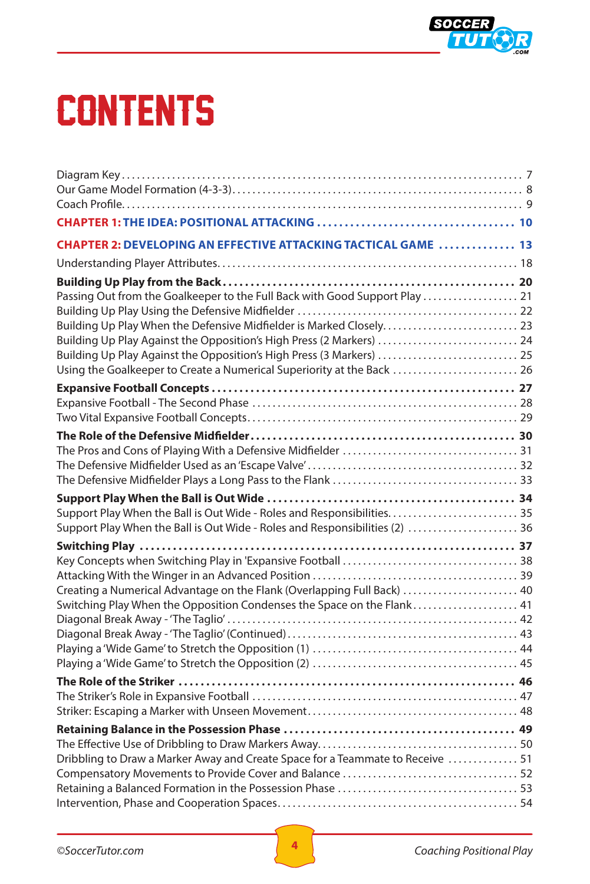

## **CONTENTS**

| <b>CHAPTER 2: DEVELOPING AN EFFECTIVE ATTACKING TACTICAL GAME  13</b>          |  |
|--------------------------------------------------------------------------------|--|
|                                                                                |  |
|                                                                                |  |
| Passing Out from the Goalkeeper to the Full Back with Good Support Play  21    |  |
| Building Up Play When the Defensive Midfielder is Marked Closely 23            |  |
| Building Up Play Against the Opposition's High Press (2 Markers)  24           |  |
| Building Up Play Against the Opposition's High Press (3 Markers)  25           |  |
| Using the Goalkeeper to Create a Numerical Superiority at the Back  26         |  |
|                                                                                |  |
|                                                                                |  |
|                                                                                |  |
|                                                                                |  |
|                                                                                |  |
|                                                                                |  |
|                                                                                |  |
| Support Play When the Ball is Out Wide - Roles and Responsibilities 35         |  |
| Support Play When the Ball is Out Wide - Roles and Responsibilities (2)  36    |  |
|                                                                                |  |
|                                                                                |  |
| Creating a Numerical Advantage on the Flank (Overlapping Full Back)  40        |  |
| Switching Play When the Opposition Condenses the Space on the Flank 41         |  |
|                                                                                |  |
|                                                                                |  |
|                                                                                |  |
|                                                                                |  |
|                                                                                |  |
|                                                                                |  |
|                                                                                |  |
|                                                                                |  |
|                                                                                |  |
| Dribbling to Draw a Marker Away and Create Space for a Teammate to Receive  51 |  |
|                                                                                |  |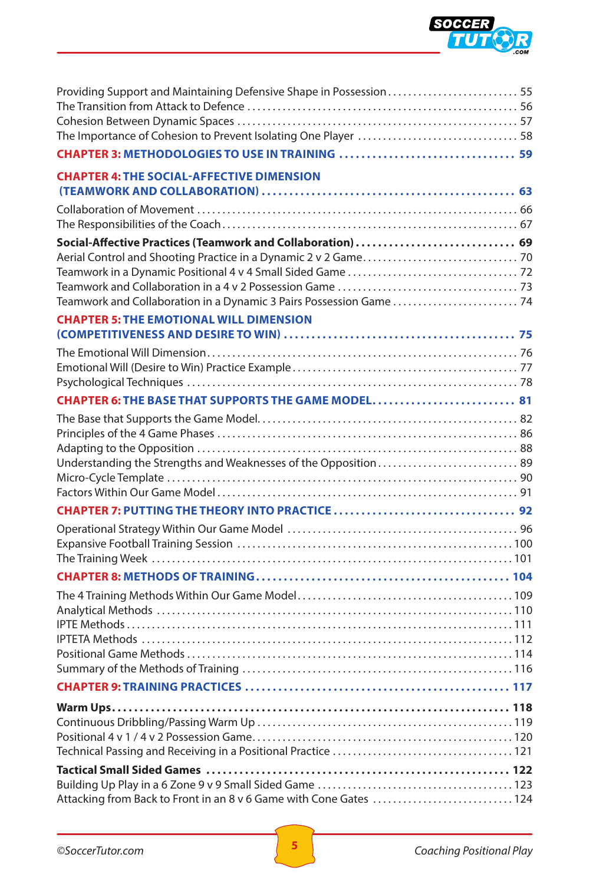

| Providing Support and Maintaining Defensive Shape in Possession55  |  |
|--------------------------------------------------------------------|--|
|                                                                    |  |
|                                                                    |  |
|                                                                    |  |
| <b>CHAPTER 4: THE SOCIAL-AFFECTIVE DIMENSION</b>                   |  |
|                                                                    |  |
|                                                                    |  |
| Social-Affective Practices (Teamwork and Collaboration)  69        |  |
|                                                                    |  |
|                                                                    |  |
|                                                                    |  |
|                                                                    |  |
| <b>CHAPTER 5: THE EMOTIONAL WILL DIMENSION</b>                     |  |
|                                                                    |  |
|                                                                    |  |
|                                                                    |  |
| CHAPTER 6: THE BASE THAT SUPPORTS THE GAME MODEL 81                |  |
|                                                                    |  |
|                                                                    |  |
|                                                                    |  |
| Understanding the Strengths and Weaknesses of the Opposition 89    |  |
|                                                                    |  |
|                                                                    |  |
|                                                                    |  |
|                                                                    |  |
|                                                                    |  |
|                                                                    |  |
|                                                                    |  |
|                                                                    |  |
|                                                                    |  |
|                                                                    |  |
|                                                                    |  |
|                                                                    |  |
|                                                                    |  |
|                                                                    |  |
|                                                                    |  |
|                                                                    |  |
|                                                                    |  |
|                                                                    |  |
|                                                                    |  |
| Attacking from Back to Front in an 8 v 6 Game with Cone Gates  124 |  |